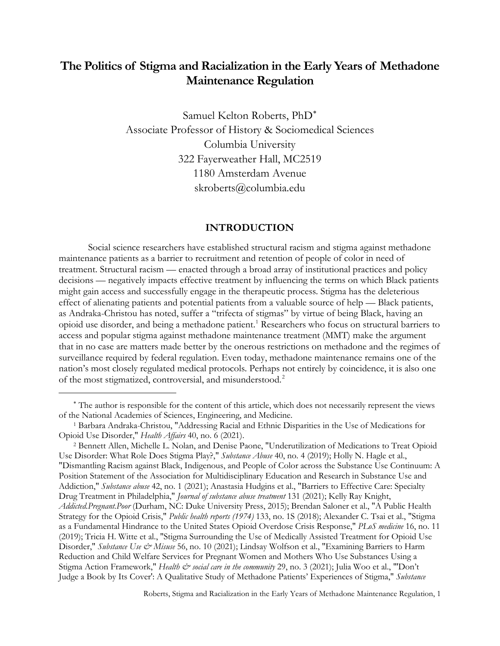# **The Politics of Stigma and Racialization in the Early Years of Methadone Maintenance Regulation**

Samuel Kelton Roberts, PhD[∗](#page-0-0) Associate Professor of History & Sociomedical Sciences Columbia University 322 Fayerweather Hall, MC2519 1180 Amsterdam Avenue skroberts@columbia.edu

## **INTRODUCTION**

Social science researchers have established structural racism and stigma against methadone maintenance patients as a barrier to recruitment and retention of people of color in need of treatment. Structural racism — enacted through a broad array of institutional practices and policy decisions — negatively impacts effective treatment by influencing the terms on which Black patients might gain access and successfully engage in the therapeutic process. Stigma has the deleterious effect of alienating patients and potential patients from a valuable source of help — Black patients, as Andraka-Christou has noted, suffer a "trifecta of stigmas" by virtue of being Black, having an opioid use disorder, and being a methadone patient. [1](#page-0-1) Researchers who focus on structural barriers to access and popular stigma against methadone maintenance treatment (MMT) make the argument that in no case are matters made better by the onerous restrictions on methadone and the regimes of surveillance required by federal regulation. Even today, methadone maintenance remains one of the nation's most closely regulated medical protocols. Perhaps not entirely by coincidence, it is also one of the most stigmatized, controversial, and misunderstood.<sup>[2](#page-0-2)</sup>

<span id="page-0-0"></span><sup>∗</sup> The author is responsible for the content of this article, which does not necessarily represent the views of the National Academies of Sciences, Engineering, and Medicine.

<span id="page-0-1"></span><sup>1</sup> Barbara Andraka-Christou, "Addressing Racial and Ethnic Disparities in the Use of Medications for Opioid Use Disorder," *Health Affairs* 40, no. 6 (2021).

<span id="page-0-2"></span><sup>2</sup> Bennett Allen, Michelle L. Nolan, and Denise Paone, "Underutilization of Medications to Treat Opioid Use Disorder: What Role Does Stigma Play?," *Substance Abuse* 40, no. 4 (2019); Holly N. Hagle et al., "Dismantling Racism against Black, Indigenous, and People of Color across the Substance Use Continuum: A Position Statement of the Association for Multidisciplinary Education and Research in Substance Use and Addiction," *Substance abuse* 42, no. 1 (2021); Anastasia Hudgins et al., "Barriers to Effective Care: Specialty Drug Treatment in Philadelphia," *Journal of substance abuse treatment* 131 (2021); Kelly Ray Knight, *Addicted.Pregnant.Poor* (Durham, NC: Duke University Press, 2015); Brendan Saloner et al., "A Public Health Strategy for the Opioid Crisis," *Public health reports (1974)* 133, no. 1S (2018); Alexander C. Tsai et al., "Stigma as a Fundamental Hindrance to the United States Opioid Overdose Crisis Response," *PLoS medicine* 16, no. 11 (2019); Tricia H. Witte et al., "Stigma Surrounding the Use of Medically Assisted Treatment for Opioid Use Disorder," *Substance Use & Misuse* 56, no. 10 (2021); Lindsay Wolfson et al., "Examining Barriers to Harm Reduction and Child Welfare Services for Pregnant Women and Mothers Who Use Substances Using a Stigma Action Framework," *Health & social care in the community* 29, no. 3 (2021); Julia Woo et al., "'Don't Judge a Book by Its Cover': A Qualitative Study of Methadone Patients' Experiences of Stigma," *Substance*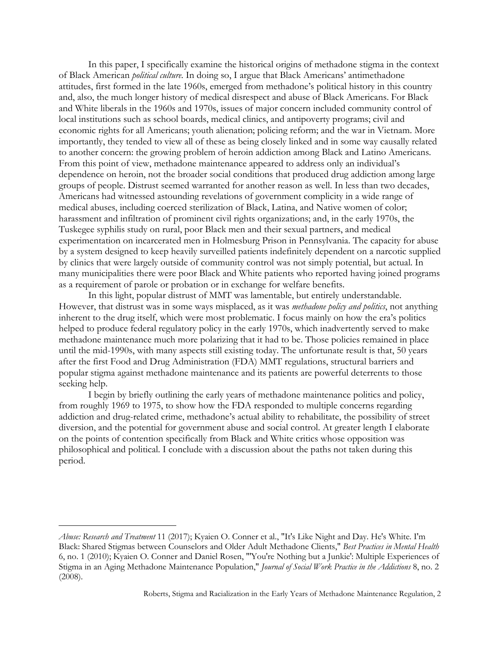In this paper, I specifically examine the historical origins of methadone stigma in the context of Black American *political culture*. In doing so, I argue that Black Americans' antimethadone attitudes, first formed in the late 1960s, emerged from methadone's political history in this country and, also, the much longer history of medical disrespect and abuse of Black Americans. For Black and White liberals in the 1960s and 1970s, issues of major concern included community control of local institutions such as school boards, medical clinics, and antipoverty programs; civil and economic rights for all Americans; youth alienation; policing reform; and the war in Vietnam. More importantly, they tended to view all of these as being closely linked and in some way causally related to another concern: the growing problem of heroin addiction among Black and Latino Americans. From this point of view, methadone maintenance appeared to address only an individual's dependence on heroin, not the broader social conditions that produced drug addiction among large groups of people. Distrust seemed warranted for another reason as well. In less than two decades, Americans had witnessed astounding revelations of government complicity in a wide range of medical abuses, including coerced sterilization of Black, Latina, and Native women of color; harassment and infiltration of prominent civil rights organizations; and, in the early 1970s, the Tuskegee syphilis study on rural, poor Black men and their sexual partners, and medical experimentation on incarcerated men in Holmesburg Prison in Pennsylvania. The capacity for abuse by a system designed to keep heavily surveilled patients indefinitely dependent on a narcotic supplied by clinics that were largely outside of community control was not simply potential, but actual. In many municipalities there were poor Black and White patients who reported having joined programs as a requirement of parole or probation or in exchange for welfare benefits.

In this light, popular distrust of MMT was lamentable, but entirely understandable. However, that distrust was in some ways misplaced, as it was *methadone policy and politics*, not anything inherent to the drug itself, which were most problematic. I focus mainly on how the era's politics helped to produce federal regulatory policy in the early 1970s, which inadvertently served to make methadone maintenance much more polarizing that it had to be. Those policies remained in place until the mid-1990s, with many aspects still existing today. The unfortunate result is that, 50 years after the first Food and Drug Administration (FDA) MMT regulations, structural barriers and popular stigma against methadone maintenance and its patients are powerful deterrents to those seeking help.

I begin by briefly outlining the early years of methadone maintenance politics and policy, from roughly 1969 to 1975, to show how the FDA responded to multiple concerns regarding addiction and drug-related crime, methadone's actual ability to rehabilitate, the possibility of street diversion, and the potential for government abuse and social control. At greater length I elaborate on the points of contention specifically from Black and White critics whose opposition was philosophical and political. I conclude with a discussion about the paths not taken during this period.

*Abuse: Research and Treatment* 11 (2017); Kyaien O. Conner et al., "It's Like Night and Day. He's White. I'm Black: Shared Stigmas between Counselors and Older Adult Methadone Clients," *Best Practices in Mental Health* 6, no. 1 (2010); Kyaien O. Conner and Daniel Rosen, "'You're Nothing but a Junkie': Multiple Experiences of Stigma in an Aging Methadone Maintenance Population," *Journal of Social Work Practice in the Addictions* 8, no. 2 (2008).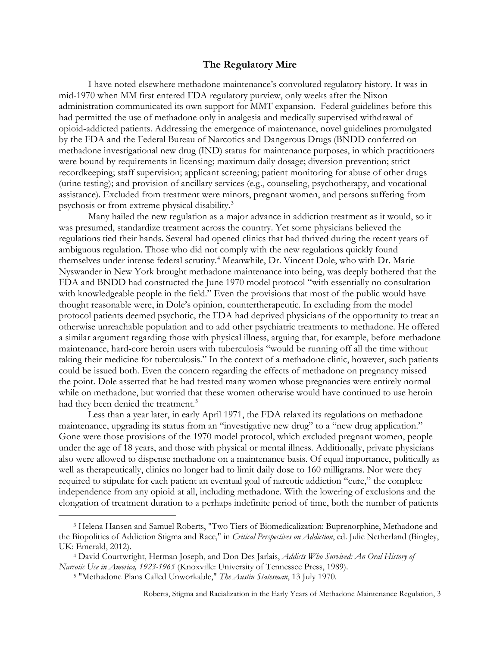#### **The Regulatory Mire**

I have noted elsewhere methadone maintenance's convoluted regulatory history. It was in mid-1970 when MM first entered FDA regulatory purview, only weeks after the Nixon administration communicated its own support for MMT expansion. Federal guidelines before this had permitted the use of methadone only in analgesia and medically supervised withdrawal of opioid-addicted patients. Addressing the emergence of maintenance, novel guidelines promulgated by the FDA and the Federal Bureau of Narcotics and Dangerous Drugs (BNDD conferred on methadone investigational new drug (IND) status for maintenance purposes, in which practitioners were bound by requirements in licensing; maximum daily dosage; diversion prevention; strict recordkeeping; staff supervision; applicant screening; patient monitoring for abuse of other drugs (urine testing); and provision of ancillary services (e.g., counseling, psychotherapy, and vocational assistance). Excluded from treatment were minors, pregnant women, and persons suffering from psychosis or from extreme physical disability.[3](#page-2-0)

Many hailed the new regulation as a major advance in addiction treatment as it would, so it was presumed, standardize treatment across the country. Yet some physicians believed the regulations tied their hands. Several had opened clinics that had thrived during the recent years of ambiguous regulation. Those who did not comply with the new regulations quickly found themselves under intense federal scrutiny.<sup>[4](#page-2-1)</sup> Meanwhile, Dr. Vincent Dole, who with Dr. Marie Nyswander in New York brought methadone maintenance into being, was deeply bothered that the FDA and BNDD had constructed the June 1970 model protocol "with essentially no consultation with knowledgeable people in the field." Even the provisions that most of the public would have thought reasonable were, in Dole's opinion, countertherapeutic. In excluding from the model protocol patients deemed psychotic, the FDA had deprived physicians of the opportunity to treat an otherwise unreachable population and to add other psychiatric treatments to methadone. He offered a similar argument regarding those with physical illness, arguing that, for example, before methadone maintenance, hard-core heroin users with tuberculosis "would be running off all the time without taking their medicine for tuberculosis." In the context of a methadone clinic, however, such patients could be issued both. Even the concern regarding the effects of methadone on pregnancy missed the point. Dole asserted that he had treated many women whose pregnancies were entirely normal while on methadone, but worried that these women otherwise would have continued to use heroin had they been denied the treatment.<sup>[5](#page-2-2)</sup>

Less than a year later, in early April 1971, the FDA relaxed its regulations on methadone maintenance, upgrading its status from an "investigative new drug" to a "new drug application." Gone were those provisions of the 1970 model protocol, which excluded pregnant women, people under the age of 18 years, and those with physical or mental illness. Additionally, private physicians also were allowed to dispense methadone on a maintenance basis. Of equal importance, politically as well as therapeutically, clinics no longer had to limit daily dose to 160 milligrams. Nor were they required to stipulate for each patient an eventual goal of narcotic addiction "cure," the complete independence from any opioid at all, including methadone. With the lowering of exclusions and the elongation of treatment duration to a perhaps indefinite period of time, both the number of patients

<span id="page-2-0"></span><sup>3</sup> Helena Hansen and Samuel Roberts, "Two Tiers of Biomedicalization: Buprenorphine, Methadone and the Biopolitics of Addiction Stigma and Race," in *Critical Perspectives on Addiction*, ed. Julie Netherland (Bingley, UK: Emerald, 2012).

<span id="page-2-2"></span><span id="page-2-1"></span><sup>4</sup> David Courtwright, Herman Joseph, and Don Des Jarlais, *Addicts Who Survived: An Oral History of Narcotic Use in America, 1923-1965* (Knoxville: University of Tennessee Press, 1989).

<sup>5</sup> "Methadone Plans Called Unworkable," *The Austin Statesman*, 13 July 1970.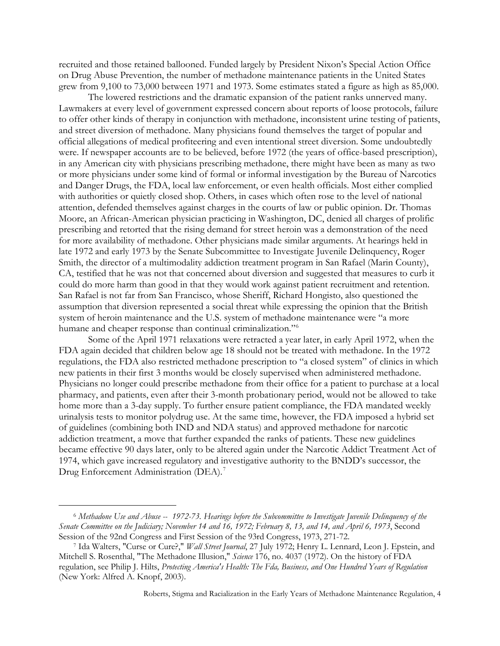recruited and those retained ballooned. Funded largely by President Nixon's Special Action Office on Drug Abuse Prevention, the number of methadone maintenance patients in the United States grew from 9,100 to 73,000 between 1971 and 1973. Some estimates stated a figure as high as 85,000.

The lowered restrictions and the dramatic expansion of the patient ranks unnerved many. Lawmakers at every level of government expressed concern about reports of loose protocols, failure to offer other kinds of therapy in conjunction with methadone, inconsistent urine testing of patients, and street diversion of methadone. Many physicians found themselves the target of popular and official allegations of medical profiteering and even intentional street diversion. Some undoubtedly were. If newspaper accounts are to be believed, before 1972 (the years of office-based prescription), in any American city with physicians prescribing methadone, there might have been as many as two or more physicians under some kind of formal or informal investigation by the Bureau of Narcotics and Danger Drugs, the FDA, local law enforcement, or even health officials. Most either complied with authorities or quietly closed shop. Others, in cases which often rose to the level of national attention, defended themselves against charges in the courts of law or public opinion. Dr. Thomas Moore, an African-American physician practicing in Washington, DC, denied all charges of prolific prescribing and retorted that the rising demand for street heroin was a demonstration of the need for more availability of methadone. Other physicians made similar arguments. At hearings held in late 1972 and early 1973 by the Senate Subcommittee to Investigate Juvenile Delinquency, Roger Smith, the director of a multimodality addiction treatment program in San Rafael (Marin County), CA, testified that he was not that concerned about diversion and suggested that measures to curb it could do more harm than good in that they would work against patient recruitment and retention. San Rafael is not far from San Francisco, whose Sheriff, Richard Hongisto, also questioned the assumption that diversion represented a social threat while expressing the opinion that the British system of heroin maintenance and the U.S. system of methadone maintenance were "a more humane and cheaper response than continual criminalization."<sup>[6](#page-3-0)</sup>

Some of the April 1971 relaxations were retracted a year later, in early April 1972, when the FDA again decided that children below age 18 should not be treated with methadone. In the 1972 regulations, the FDA also restricted methadone prescription to "a closed system" of clinics in which new patients in their first 3 months would be closely supervised when administered methadone. Physicians no longer could prescribe methadone from their office for a patient to purchase at a local pharmacy, and patients, even after their 3-month probationary period, would not be allowed to take home more than a 3-day supply. To further ensure patient compliance, the FDA mandated weekly urinalysis tests to monitor polydrug use. At the same time, however, the FDA imposed a hybrid set of guidelines (combining both IND and NDA status) and approved methadone for narcotic addiction treatment, a move that further expanded the ranks of patients. These new guidelines became effective 90 days later, only to be altered again under the Narcotic Addict Treatment Act of 1974, which gave increased regulatory and investigative authority to the BNDD's successor, the Drug Enforcement Administration (DEA). [7](#page-3-1)

<span id="page-3-0"></span><sup>6</sup> *Methadone Use and Abuse -- 1972-73. Hearings before the Subcommittee to Investigate Juvenile Delinquency of the Senate Committee on the Judiciary; November 14 and 16, 1972; February 8, 13, and 14, and April 6, 1973*, Second Session of the 92nd Congress and First Session of the 93rd Congress, 1973, 271-72.

<span id="page-3-1"></span><sup>7</sup> Ida Walters, "Curse or Cure?," *Wall Street Journal*, 27 July 1972; Henry L. Lennard, Leon J. Epstein, and Mitchell S. Rosenthal, "The Methadone Illusion," *Science* 176, no. 4037 (1972). On the history of FDA regulation, see Philip J. Hilts, *Protecting America's Health: The Fda, Business, and One Hundred Years of Regulation* (New York: Alfred A. Knopf, 2003).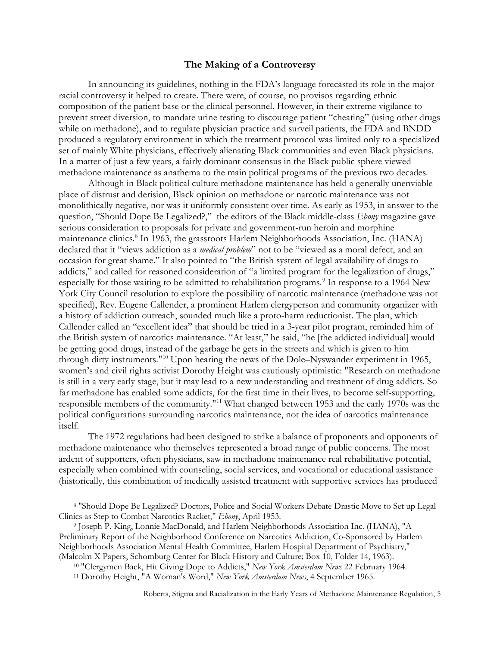### **The Making of a Controversy**

In announcing its guidelines, nothing in the FDA's language forecasted its role in the major racial controversy it helped to create. There were, of course, no provisos regarding ethnic composition of the patient base or the clinical personnel. However, in their extreme vigilance to prevent street diversion, to mandate urine testing to discourage patient "cheating" (using other drugs while on methadone), and to regulate physician practice and surveil patients, the FDA and BNDD produced a regulatory environment in which the treatment protocol was limited only to a specialized set of mainly White physicians, effectively alienating Black communities and even Black physicians. In a matter of just a few years, a fairly dominant consensus in the Black public sphere viewed methadone maintenance as anathema to the main political programs of the previous two decades.

Although in Black political culture methadone maintenance has held a generally unenviable place of distrust and derision, Black opinion on methadone or narcotic maintenance was not monolithically negative, nor was it uniformly consistent over time. As early as 1953, in answer to the question, "Should Dope Be Legalized?," the editors of the Black middle-class *Ebony* magazine gave serious consideration to proposals for private and government-run heroin and morphine maintenance clinics[.8](#page-4-0) In 1963, the grassroots Harlem Neighborhoods Association, Inc. (HANA) declared that it "views addiction as a *medical problem*" not to be "viewed as a moral defect, and an occasion for great shame." It also pointed to "the British system of legal availability of drugs to addicts," and called for reasoned consideration of "a limited program for the legalization of drugs," especially for those waiting to be admitted to rehabilitation programs.<sup>[9](#page-4-1)</sup> In response to a 1964 New York City Council resolution to explore the possibility of narcotic maintenance (methadone was not specified), Rev. Eugene Callender, a prominent Harlem clergyperson and community organizer with a history of addiction outreach, sounded much like a proto-harm reductionist. The plan, which Callender called an "excellent idea" that should be tried in a 3-year pilot program, reminded him of the British system of narcotics maintenance. "At least," he said, "he [the addicted individual] would be getting good drugs, instead of the garbage he gets in the streets and which is given to him through dirty instruments."[10](#page-4-2) Upon hearing the news of the Dole–Nyswander experiment in 1965, women's and civil rights activist Dorothy Height was cautiously optimistic: "Research on methadone is still in a very early stage, but it may lead to a new understanding and treatment of drug addicts. So far methadone has enabled some addicts, for the first time in their lives, to become self-supporting, responsible members of the community."[11](#page-4-3) What changed between 1953 and the early 1970s was the political configurations surrounding narcotics maintenance, not the idea of narcotics maintenance itself.

The 1972 regulations had been designed to strike a balance of proponents and opponents of methadone maintenance who themselves represented a broad range of public concerns. The most ardent of supporters, often physicians, saw in methadone maintenance real rehabilitative potential, especially when combined with counseling, social services, and vocational or educational assistance (historically, this combination of medically assisted treatment with supportive services has produced

<span id="page-4-0"></span><sup>8</sup> "Should Dope Be Legalized? Doctors, Police and Social Workers Debate Drastic Move to Set up Legal Clinics as Step to Combat Narcotics Racket," *Ebony*, April 1953.

<span id="page-4-2"></span><span id="page-4-1"></span><sup>9</sup> Joseph P. King, Lonnie MacDonald, and Harlem Neighborhoods Association Inc. (HANA), "A Preliminary Report of the Neighborhood Conference on Narcotics Addiction, Co-Sponsored by Harlem Neighborhoods Association Mental Health Committee, Harlem Hospital Department of Psychiatry," (Malcolm X Papers, Schomburg Center for Black History and Culture; Box 10, Folder 14, 1963).

<sup>10</sup> "Clergymen Back, Hit Giving Dope to Addicts," *New York Amsterdam News* 22 February 1964.

<span id="page-4-3"></span><sup>11</sup> Dorothy Height, "A Woman's Word," *New York Amsterdam News*, 4 September 1965.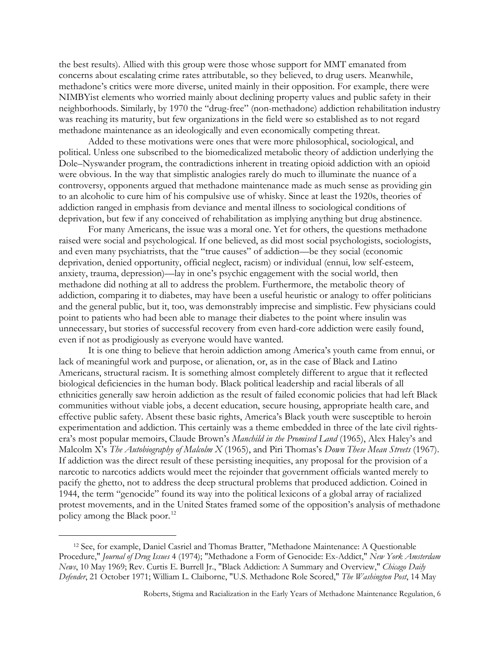the best results). Allied with this group were those whose support for MMT emanated from concerns about escalating crime rates attributable, so they believed, to drug users. Meanwhile, methadone's critics were more diverse, united mainly in their opposition. For example, there were NIMBYist elements who worried mainly about declining property values and public safety in their neighborhoods. Similarly, by 1970 the "drug-free" (non-methadone) addiction rehabilitation industry was reaching its maturity, but few organizations in the field were so established as to not regard methadone maintenance as an ideologically and even economically competing threat.

Added to these motivations were ones that were more philosophical, sociological, and political. Unless one subscribed to the biomedicalized metabolic theory of addiction underlying the Dole–Nyswander program, the contradictions inherent in treating opioid addiction with an opioid were obvious. In the way that simplistic analogies rarely do much to illuminate the nuance of a controversy, opponents argued that methadone maintenance made as much sense as providing gin to an alcoholic to cure him of his compulsive use of whisky. Since at least the 1920s, theories of addiction ranged in emphasis from deviance and mental illness to sociological conditions of deprivation, but few if any conceived of rehabilitation as implying anything but drug abstinence.

For many Americans, the issue was a moral one. Yet for others, the questions methadone raised were social and psychological. If one believed, as did most social psychologists, sociologists, and even many psychiatrists, that the "true causes" of addiction—be they social (economic deprivation, denied opportunity, official neglect, racism) or individual (ennui, low self-esteem, anxiety, trauma, depression)—lay in one's psychic engagement with the social world, then methadone did nothing at all to address the problem. Furthermore, the metabolic theory of addiction, comparing it to diabetes, may have been a useful heuristic or analogy to offer politicians and the general public, but it, too, was demonstrably imprecise and simplistic. Few physicians could point to patients who had been able to manage their diabetes to the point where insulin was unnecessary, but stories of successful recovery from even hard-core addiction were easily found, even if not as prodigiously as everyone would have wanted.

It is one thing to believe that heroin addiction among America's youth came from ennui, or lack of meaningful work and purpose, or alienation, or, as in the case of Black and Latino Americans, structural racism. It is something almost completely different to argue that it reflected biological deficiencies in the human body. Black political leadership and racial liberals of all ethnicities generally saw heroin addiction as the result of failed economic policies that had left Black communities without viable jobs, a decent education, secure housing, appropriate health care, and effective public safety. Absent these basic rights, America's Black youth were susceptible to heroin experimentation and addiction. This certainly was a theme embedded in three of the late civil rightsera's most popular memoirs, Claude Brown's *Manchild in the Promised Land* (1965), Alex Haley's and Malcolm X's *The Autobiography of Malcolm X* (1965), and Piri Thomas's *Down These Mean Streets* (1967). If addiction was the direct result of these persisting inequities, any proposal for the provision of a narcotic to narcotics addicts would meet the rejoinder that government officials wanted merely to pacify the ghetto, not to address the deep structural problems that produced addiction. Coined in 1944, the term "genocide" found its way into the political lexicons of a global array of racialized protest movements, and in the United States framed some of the opposition's analysis of methadone policy among the Black poor.<sup>[12](#page-5-0)</sup>

<span id="page-5-0"></span><sup>12</sup> See, for example, Daniel Casriel and Thomas Bratter, "Methadone Maintenance: A Questionable Procedure," *Journal of Drug Issues* 4 (1974); "Methadone a Form of Genocide: Ex-Addict," *New York Amsterdam News*, 10 May 1969; Rev. Curtis E. Burrell Jr., "Black Addiction: A Summary and Overview," *Chicago Daily Defender*, 21 October 1971; William L. Claiborne, "U.S. Methadone Role Scored," *The Washington Post*, 14 May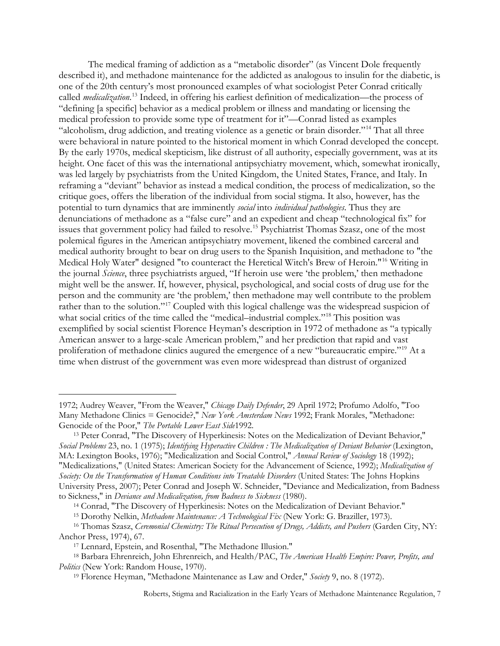The medical framing of addiction as a "metabolic disorder" (as Vincent Dole frequently described it), and methadone maintenance for the addicted as analogous to insulin for the diabetic, is one of the 20th century's most pronounced examples of what sociologist Peter Conrad critically called *medicalization*. [13](#page-6-0) Indeed, in offering his earliest definition of medicalization—the process of "defining [a specific] behavior as a medical problem or illness and mandating or licensing the medical profession to provide some type of treatment for it"—Conrad listed as examples "alcoholism, drug addiction, and treating violence as a genetic or brain disorder."[14](#page-6-1) That all three were behavioral in nature pointed to the historical moment in which Conrad developed the concept. By the early 1970s, medical skepticism, like distrust of all authority, especially government, was at its height. One facet of this was the international antipsychiatry movement, which, somewhat ironically, was led largely by psychiatrists from the United Kingdom, the United States, France, and Italy. In reframing a "deviant" behavior as instead a medical condition, the process of medicalization, so the critique goes, offers the liberation of the individual from social stigma. It also, however, has the potential to turn dynamics that are imminently *social* into *individual pathologies*. Thus they are denunciations of methadone as a "false cure" and an expedient and cheap "technological fix" for issues that government policy had failed to resolve.<sup>15</sup> Psychiatrist Thomas Szasz, one of the most polemical figures in the American antipsychiatry movement, likened the combined carceral and medical authority brought to bear on drug users to the Spanish Inquisition, and methadone to "the Medical Holy Water" designed "to counteract the Heretical Witch's Brew of Heroin."[16](#page-6-3) Writing in the journal *Science*, three psychiatrists argued, "If heroin use were 'the problem,' then methadone might well be the answer. If, however, physical, psychological, and social costs of drug use for the person and the community are 'the problem,' then methadone may well contribute to the problem rather than to the solution."<sup>[17](#page-6-4)</sup> Coupled with this logical challenge was the widespread suspicion of what social critics of the time called the "medical-industrial complex."<sup>[18](#page-6-5)</sup> This position was exemplified by social scientist Florence Heyman's description in 1972 of methadone as "a typically American answer to a large-scale American problem," and her prediction that rapid and vast proliferation of methadone clinics augured the emergence of a new "bureaucratic empire."[19](#page-6-6) At a time when distrust of the government was even more widespread than distrust of organized

<sup>14</sup> Conrad, "The Discovery of Hyperkinesis: Notes on the Medicalization of Deviant Behavior."

<sup>15</sup> Dorothy Nelkin, *Methadone Maintenance: A Technological Fix* (New York: G. Braziller, 1973).

<sup>1972;</sup> Audrey Weaver, "From the Weaver," *Chicago Daily Defender*, 29 April 1972; Profumo Adolfo, "Too Many Methadone Clinics = Genocide?," *New York Amsterdam News* 1992; Frank Morales, "Methadone: Genocide of the Poor," *The Portable Lower East Side*1992.

<span id="page-6-0"></span><sup>13</sup> Peter Conrad, "The Discovery of Hyperkinesis: Notes on the Medicalization of Deviant Behavior," *Social Problems* 23, no. 1 (1975); *Identifying Hyperactive Children : The Medicalization of Deviant Behavior* (Lexington, MA: Lexington Books, 1976); "Medicalization and Social Control," *Annual Review of Sociology* 18 (1992); "Medicalizations," (United States: American Society for the Advancement of Science, 1992); *Medicalization of Society: On the Transformation of Human Conditions into Treatable Disorders* (United States: The Johns Hopkins University Press, 2007); Peter Conrad and Joseph W. Schneider, "Deviance and Medicalization, from Badness to Sickness," in *Deviance and Medicalization, from Badness to Sickness* (1980).

<span id="page-6-3"></span><span id="page-6-2"></span><span id="page-6-1"></span><sup>16</sup> Thomas Szasz, *Ceremonial Chemistry: The Ritual Persecution of Drugs, Addicts, and Pushers* (Garden City, NY: Anchor Press, 1974), 67.

<sup>17</sup> Lennard, Epstein, and Rosenthal, "The Methadone Illusion."

<span id="page-6-6"></span><span id="page-6-5"></span><span id="page-6-4"></span><sup>18</sup> Barbara Ehrenreich, John Ehrenreich, and Health/PAC, *The American Health Empire: Power, Profits, and Politics* (New York: Random House, 1970).

<sup>19</sup> Florence Heyman, "Methadone Maintenance as Law and Order," *Society* 9, no. 8 (1972).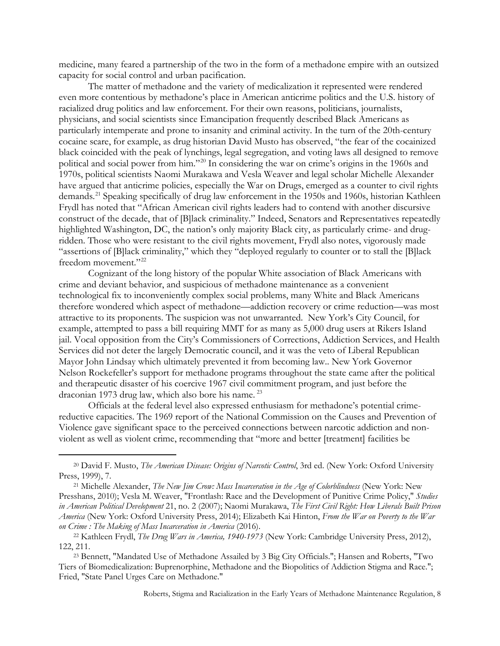medicine, many feared a partnership of the two in the form of a methadone empire with an outsized capacity for social control and urban pacification.

The matter of methadone and the variety of medicalization it represented were rendered even more contentious by methadone's place in American anticrime politics and the U.S. history of racialized drug politics and law enforcement. For their own reasons, politicians, journalists, physicians, and social scientists since Emancipation frequently described Black Americans as particularly intemperate and prone to insanity and criminal activity. In the turn of the 20th-century cocaine scare, for example, as drug historian David Musto has observed, "the fear of the cocainized black coincided with the peak of lynchings, legal segregation, and voting laws all designed to remove political and social power from him."[20](#page-7-0) In considering the war on crime's origins in the 1960s and 1970s, political scientists Naomi Murakawa and Vesla Weaver and legal scholar Michelle Alexander have argued that anticrime policies, especially the War on Drugs, emerged as a counter to civil rights demands. [21](#page-7-1) Speaking specifically of drug law enforcement in the 1950s and 1960s, historian Kathleen Frydl has noted that "African American civil rights leaders had to contend with another discursive construct of the decade, that of [B]lack criminality." Indeed, Senators and Representatives repeatedly highlighted Washington, DC, the nation's only majority Black city, as particularly crime- and drugridden. Those who were resistant to the civil rights movement, Frydl also notes, vigorously made "assertions of [B]lack criminality," which they "deployed regularly to counter or to stall the [B]lack freedom movement."<sup>[22](#page-7-2)</sup>

Cognizant of the long history of the popular White association of Black Americans with crime and deviant behavior, and suspicious of methadone maintenance as a convenient technological fix to inconveniently complex social problems, many White and Black Americans therefore wondered which aspect of methadone—addiction recovery or crime reduction—was most attractive to its proponents. The suspicion was not unwarranted. New York's City Council, for example, attempted to pass a bill requiring MMT for as many as 5,000 drug users at Rikers Island jail. Vocal opposition from the City's Commissioners of Corrections, Addiction Services, and Health Services did not deter the largely Democratic council, and it was the veto of Liberal Republican Mayor John Lindsay which ultimately prevented it from becoming law.. New York Governor Nelson Rockefeller's support for methadone programs throughout the state came after the political and therapeutic disaster of his coercive 1967 civil commitment program, and just before the draconian 1973 drug law, which also bore his name.<sup>[23](#page-7-3)</sup>

Officials at the federal level also expressed enthusiasm for methadone's potential crimereductive capacities. The 1969 report of the National Commission on the Causes and Prevention of Violence gave significant space to the perceived connections between narcotic addiction and nonviolent as well as violent crime, recommending that "more and better [treatment] facilities be

<span id="page-7-0"></span><sup>20</sup> David F. Musto, *The American Disease: Origins of Narcotic Control*, 3rd ed. (New York: Oxford University Press, 1999), 7.

<span id="page-7-1"></span><sup>21</sup> Michelle Alexander, *The New Jim Crow: Mass Incarceration in the Age of Colorblindness* (New York: New Presshans, 2010); Vesla M. Weaver, "Frontlash: Race and the Development of Punitive Crime Policy," *Studies in American Political Development* 21, no. 2 (2007); Naomi Murakawa, *The First Civil Right: How Liberals Built Prison America* (New York: Oxford University Press, 2014); Elizabeth Kai Hinton, *From the War on Poverty to the War on Crime : The Making of Mass Incarceration in America* (2016).

<span id="page-7-2"></span><sup>22</sup> Kathleen Frydl, *The Drug Wars in America, 1940-1973* (New York: Cambridge University Press, 2012), 122, 211.

<span id="page-7-3"></span><sup>23</sup> Bennett, "Mandated Use of Methadone Assailed by 3 Big City Officials."; Hansen and Roberts, "Two Tiers of Biomedicalization: Buprenorphine, Methadone and the Biopolitics of Addiction Stigma and Race."; Fried, "State Panel Urges Care on Methadone."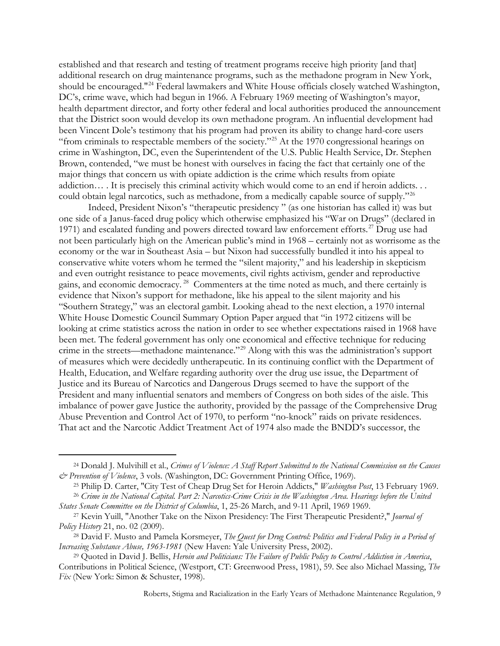established and that research and testing of treatment programs receive high priority [and that] additional research on drug maintenance programs, such as the methadone program in New York, should be encouraged."[24](#page-8-0) Federal lawmakers and White House officials closely watched Washington, DC's, crime wave, which had begun in 1966. A February 1969 meeting of Washington's mayor, health department director, and forty other federal and local authorities produced the announcement that the District soon would develop its own methadone program. An influential development had been Vincent Dole's testimony that his program had proven its ability to change hard-core users "from criminals to respectable members of the society."<sup>[25](#page-8-1)</sup> At the 1970 congressional hearings on crime in Washington, DC, even the Superintendent of the U.S. Public Health Service, Dr. Stephen Brown, contended, "we must be honest with ourselves in facing the fact that certainly one of the major things that concern us with opiate addiction is the crime which results from opiate addiction… . It is precisely this criminal activity which would come to an end if heroin addicts... could obtain legal narcotics, such as methadone, from a medically capable source of supply."<sup>[26](#page-8-2)</sup>

Indeed, President Nixon's "therapeutic presidency " (as one historian has called it) was but one side of a Janus-faced drug policy which otherwise emphasized his "War on Drugs" (declared in 1971) and escalated funding and powers directed toward law enforcement efforts.<sup>[27](#page-8-3)</sup> Drug use had not been particularly high on the American public's mind in 1968 – certainly not as worrisome as the economy or the war in Southeast Asia – but Nixon had successfully bundled it into his appeal to conservative white voters whom he termed the "silent majority," and his leadership in skepticism and even outright resistance to peace movements, civil rights activism, gender and reproductive gains, and economic democracy. [28](#page-8-4) Commenters at the time noted as much, and there certainly is evidence that Nixon's support for methadone, like his appeal to the silent majority and his "Southern Strategy," was an electoral gambit. Looking ahead to the next election, a 1970 internal White House Domestic Council Summary Option Paper argued that "in 1972 citizens will be looking at crime statistics across the nation in order to see whether expectations raised in 1968 have been met. The federal government has only one economical and effective technique for reducing crime in the streets—methadone maintenance."[29](#page-8-5) Along with this was the administration's support of measures which were decidedly untherapeutic. In its continuing conflict with the Department of Health, Education, and Welfare regarding authority over the drug use issue, the Department of Justice and its Bureau of Narcotics and Dangerous Drugs seemed to have the support of the President and many influential senators and members of Congress on both sides of the aisle. This imbalance of power gave Justice the authority, provided by the passage of the Comprehensive Drug Abuse Prevention and Control Act of 1970, to perform "no-knock" raids on private residences. That act and the Narcotic Addict Treatment Act of 1974 also made the BNDD's successor, the

<span id="page-8-0"></span><sup>24</sup> Donald J. Mulvihill et al., *Crimes of Violence: A Staff Report Submitted to the National Commission on the Causes & Prevention of Violence*, 3 vols. (Washington, DC: Government Printing Office, 1969).

<sup>25</sup> Philip D. Carter, "City Test of Cheap Drug Set for Heroin Addicts," *Washington Post*, 13 February 1969.

<span id="page-8-2"></span><span id="page-8-1"></span><sup>26</sup> *Crime in the National Capital. Part 2: Narcotics-Crime Crisis in the Washington Area. Hearings before the United States Senate Committee on the District of Columbia*, 1, 25-26 March, and 9-11 April, 1969 1969.

<span id="page-8-3"></span><sup>27</sup> Kevin Yuill, "Another Take on the Nixon Presidency: The First Therapeutic President?," *Journal of Policy History* 21, no. 02 (2009).

<span id="page-8-4"></span><sup>28</sup> David F. Musto and Pamela Korsmeyer, *The Quest for Drug Control: Politics and Federal Policy in a Period of Increasing Substance Abuse, 1963-1981* (New Haven: Yale University Press, 2002).

<span id="page-8-5"></span><sup>29</sup> Quoted in David J. Bellis, *Heroin and Politicians: The Failure of Public Policy to Control Addiction in America*, Contributions in Political Science, (Westport, CT: Greenwood Press, 1981), 59. See also Michael Massing, *The Fix* (New York: Simon & Schuster, 1998).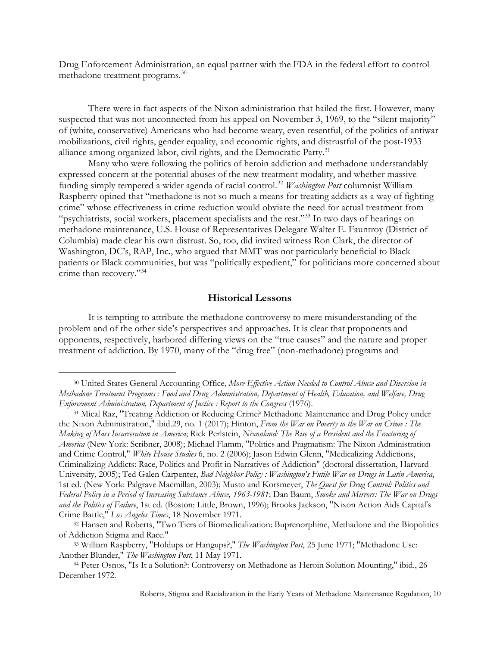Drug Enforcement Administration, an equal partner with the FDA in the federal effort to control methadone treatment programs.[30](#page-9-0)

There were in fact aspects of the Nixon administration that hailed the first. However, many suspected that was not unconnected from his appeal on November 3, 1969, to the "silent majority" of (white, conservative) Americans who had become weary, even resentful, of the politics of antiwar mobilizations, civil rights, gender equality, and economic rights, and distrustful of the post-1933 alliance among organized labor, civil rights, and the Democratic Party.<sup>[31](#page-9-1)</sup>

Many who were following the politics of heroin addiction and methadone understandably expressed concern at the potential abuses of the new treatment modality, and whether massive funding simply tempered a wider agenda of racial control.[32](#page-9-2) *Washington Post* columnist William Raspberry opined that "methadone is not so much a means for treating addicts as a way of fighting crime" whose effectiveness in crime reduction would obviate the need for actual treatment from "psychiatrists, social workers, placement specialists and the rest."<sup>[33](#page-9-3)</sup> In two days of hearings on methadone maintenance, U.S. House of Representatives Delegate Walter E. Fauntroy (District of Columbia) made clear his own distrust. So, too, did invited witness Ron Clark, the director of Washington, DC's, RAP, Inc., who argued that MMT was not particularly beneficial to Black patients or Black communities, but was "politically expedient," for politicians more concerned about crime than recovery."[34](#page-9-4)

### **Historical Lessons**

It is tempting to attribute the methadone controversy to mere misunderstanding of the problem and of the other side's perspectives and approaches. It is clear that proponents and opponents, respectively, harbored differing views on the "true causes" and the nature and proper treatment of addiction. By 1970, many of the "drug free" (non-methadone) programs and

 $\overline{a}$ 

<span id="page-9-1"></span><sup>31</sup> Mical Raz, "Treating Addiction or Reducing Crime? Methadone Maintenance and Drug Policy under the Nixon Administration," ibid.29, no. 1 (2017); Hinton, *From the War on Poverty to the War on Crime : The Making of Mass Incarceration in America*; Rick Perlstein, *Nixonland: The Rise of a President and the Fracturing of America* (New York: Scribner, 2008); Michael Flamm, "Politics and Pragmatism: The Nixon Administration and Crime Control," *White House Studies* 6, no. 2 (2006); Jason Edwin Glenn, "Medicalizing Addictions, Criminalizing Addicts: Race, Politics and Profit in Narratives of Addiction" (doctoral dissertation, Harvard University, 2005); Ted Galen Carpenter, *Bad Neighbor Policy : Washington's Futile War on Drugs in Latin America*, 1st ed. (New York: Palgrave Macmillan, 2003); Musto and Korsmeyer, *The Quest for Drug Control: Politics and Federal Policy in a Period of Increasing Substance Abuse, 1963-1981*; Dan Baum, *Smoke and Mirrors: The War on Drugs and the Politics of Failure*, 1st ed. (Boston: Little, Brown, 1996); Brooks Jackson, "Nixon Action Aids Capital's Crime Battle," *Los Angeles Times*, 18 November 1971.

<span id="page-9-0"></span><sup>30</sup> United States General Accounting Office, *More Effective Action Needed to Control Abuse and Diversion in Methadone Treatment Programs : Food and Drug Administration, Department of Health, Education, and Welfare, Drug Enforcement Administration, Department of Justice : Report to the Congress* (1976).

<span id="page-9-2"></span><sup>32</sup> Hansen and Roberts, "Two Tiers of Biomedicalization: Buprenorphine, Methadone and the Biopolitics of Addiction Stigma and Race."

<span id="page-9-3"></span><sup>33</sup> William Raspberry, "Holdups or Hangups?," *The Washington Post*, 25 June 1971; "Methadone Use: Another Blunder," *The Washington Post*, 11 May 1971.

<span id="page-9-4"></span><sup>34</sup> Peter Osnos, "Is It a Solution?: Controversy on Methadone as Heroin Solution Mounting," ibid., 26 December 1972.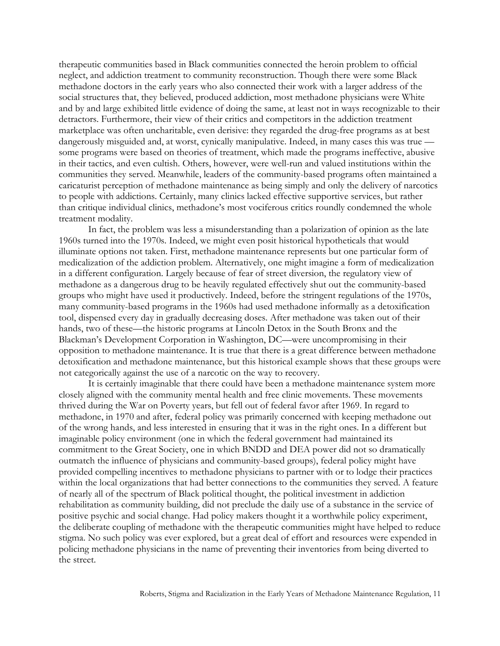therapeutic communities based in Black communities connected the heroin problem to official neglect, and addiction treatment to community reconstruction. Though there were some Black methadone doctors in the early years who also connected their work with a larger address of the social structures that, they believed, produced addiction, most methadone physicians were White and by and large exhibited little evidence of doing the same, at least not in ways recognizable to their detractors. Furthermore, their view of their critics and competitors in the addiction treatment marketplace was often uncharitable, even derisive: they regarded the drug-free programs as at best dangerously misguided and, at worst, cynically manipulative. Indeed, in many cases this was true some programs were based on theories of treatment, which made the programs ineffective, abusive in their tactics, and even cultish. Others, however, were well-run and valued institutions within the communities they served. Meanwhile, leaders of the community-based programs often maintained a caricaturist perception of methadone maintenance as being simply and only the delivery of narcotics to people with addictions. Certainly, many clinics lacked effective supportive services, but rather than critique individual clinics, methadone's most vociferous critics roundly condemned the whole treatment modality.

In fact, the problem was less a misunderstanding than a polarization of opinion as the late 1960s turned into the 1970s. Indeed, we might even posit historical hypotheticals that would illuminate options not taken. First, methadone maintenance represents but one particular form of medicalization of the addiction problem. Alternatively, one might imagine a form of medicalization in a different configuration. Largely because of fear of street diversion, the regulatory view of methadone as a dangerous drug to be heavily regulated effectively shut out the community-based groups who might have used it productively. Indeed, before the stringent regulations of the 1970s, many community-based programs in the 1960s had used methadone informally as a detoxification tool, dispensed every day in gradually decreasing doses. After methadone was taken out of their hands, two of these—the historic programs at Lincoln Detox in the South Bronx and the Blackman's Development Corporation in Washington, DC—were uncompromising in their opposition to methadone maintenance. It is true that there is a great difference between methadone detoxification and methadone maintenance, but this historical example shows that these groups were not categorically against the use of a narcotic on the way to recovery.

It is certainly imaginable that there could have been a methadone maintenance system more closely aligned with the community mental health and free clinic movements. These movements thrived during the War on Poverty years, but fell out of federal favor after 1969. In regard to methadone, in 1970 and after, federal policy was primarily concerned with keeping methadone out of the wrong hands, and less interested in ensuring that it was in the right ones. In a different but imaginable policy environment (one in which the federal government had maintained its commitment to the Great Society, one in which BNDD and DEA power did not so dramatically outmatch the influence of physicians and community-based groups), federal policy might have provided compelling incentives to methadone physicians to partner with or to lodge their practices within the local organizations that had better connections to the communities they served. A feature of nearly all of the spectrum of Black political thought, the political investment in addiction rehabilitation as community building, did not preclude the daily use of a substance in the service of positive psychic and social change. Had policy makers thought it a worthwhile policy experiment, the deliberate coupling of methadone with the therapeutic communities might have helped to reduce stigma. No such policy was ever explored, but a great deal of effort and resources were expended in policing methadone physicians in the name of preventing their inventories from being diverted to the street.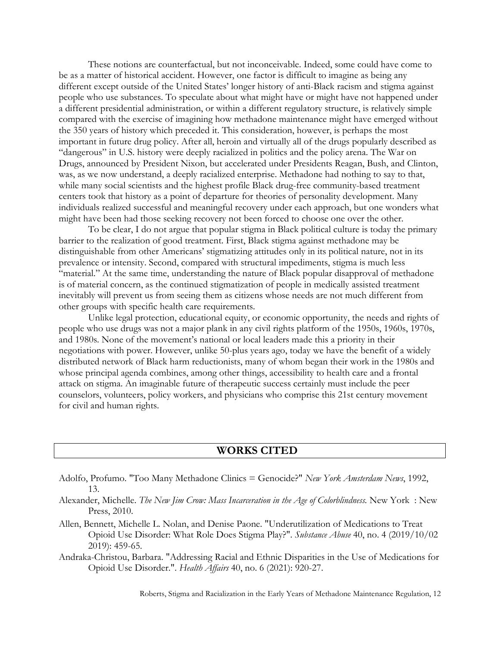These notions are counterfactual, but not inconceivable. Indeed, some could have come to be as a matter of historical accident. However, one factor is difficult to imagine as being any different except outside of the United States' longer history of anti-Black racism and stigma against people who use substances. To speculate about what might have or might have not happened under a different presidential administration, or within a different regulatory structure, is relatively simple compared with the exercise of imagining how methadone maintenance might have emerged without the 350 years of history which preceded it. This consideration, however, is perhaps the most important in future drug policy. After all, heroin and virtually all of the drugs popularly described as "dangerous" in U.S. history were deeply racialized in politics and the policy arena. The War on Drugs, announced by President Nixon, but accelerated under Presidents Reagan, Bush, and Clinton, was, as we now understand, a deeply racialized enterprise. Methadone had nothing to say to that, while many social scientists and the highest profile Black drug-free community-based treatment centers took that history as a point of departure for theories of personality development. Many individuals realized successful and meaningful recovery under each approach, but one wonders what might have been had those seeking recovery not been forced to choose one over the other.

To be clear, I do not argue that popular stigma in Black political culture is today the primary barrier to the realization of good treatment. First, Black stigma against methadone may be distinguishable from other Americans' stigmatizing attitudes only in its political nature, not in its prevalence or intensity. Second, compared with structural impediments, stigma is much less "material." At the same time, understanding the nature of Black popular disapproval of methadone is of material concern, as the continued stigmatization of people in medically assisted treatment inevitably will prevent us from seeing them as citizens whose needs are not much different from other groups with specific health care requirements.

Unlike legal protection, educational equity, or economic opportunity, the needs and rights of people who use drugs was not a major plank in any civil rights platform of the 1950s, 1960s, 1970s, and 1980s. None of the movement's national or local leaders made this a priority in their negotiations with power. However, unlike 50-plus years ago, today we have the benefit of a widely distributed network of Black harm reductionists, many of whom began their work in the 1980s and whose principal agenda combines, among other things, accessibility to health care and a frontal attack on stigma. An imaginable future of therapeutic success certainly must include the peer counselors, volunteers, policy workers, and physicians who comprise this 21st century movement for civil and human rights.

## **WORKS CITED**

- Adolfo, Profumo. "Too Many Methadone Clinics = Genocide?" *New York Amsterdam News*, 1992, 13.
- Alexander, Michelle. *The New Jim Crow: Mass Incarceration in the Age of Colorblindness.* New York : New Press, 2010.
- Allen, Bennett, Michelle L. Nolan, and Denise Paone. "Underutilization of Medications to Treat Opioid Use Disorder: What Role Does Stigma Play?". *Substance Abuse* 40, no. 4 (2019/10/02 2019): 459-65.
- Andraka-Christou, Barbara. "Addressing Racial and Ethnic Disparities in the Use of Medications for Opioid Use Disorder.". *Health Affairs* 40, no. 6 (2021): 920-27.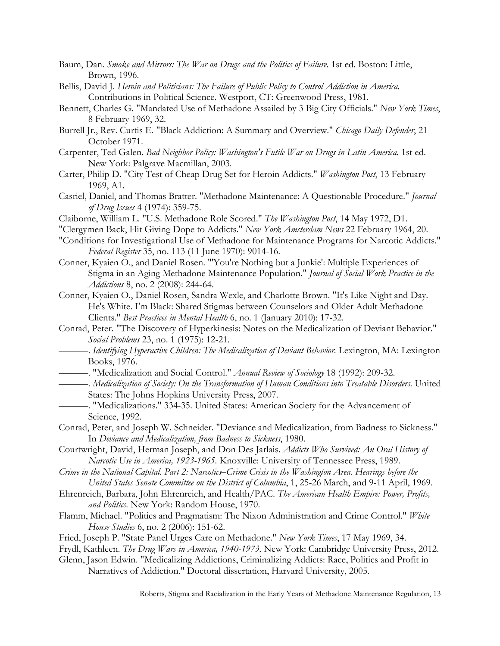- Baum, Dan. *Smoke and Mirrors: The War on Drugs and the Politics of Failure.* 1st ed. Boston: Little, Brown, 1996.
- Bellis, David J. *Heroin and Politicians: The Failure of Public Policy to Control Addiction in America.* Contributions in Political Science. Westport, CT: Greenwood Press, 1981.
- Bennett, Charles G. "Mandated Use of Methadone Assailed by 3 Big City Officials." *New York Times*, 8 February 1969, 32.
- Burrell Jr., Rev. Curtis E. "Black Addiction: A Summary and Overview." *Chicago Daily Defender*, 21 October 1971.
- Carpenter, Ted Galen. *Bad Neighbor Policy: Washington's Futile War on Drugs in Latin America.* 1st ed. New York: Palgrave Macmillan, 2003.
- Carter, Philip D. "City Test of Cheap Drug Set for Heroin Addicts." *Washington Post*, 13 February 1969, A1.
- Casriel, Daniel, and Thomas Bratter. "Methadone Maintenance: A Questionable Procedure." *Journal of Drug Issues* 4 (1974): 359-75.
- Claiborne, William L. "U.S. Methadone Role Scored." *The Washington Post*, 14 May 1972, D1.
- "Clergymen Back, Hit Giving Dope to Addicts." *New York Amsterdam News* 22 February 1964, 20.
- "Conditions for Investigational Use of Methadone for Maintenance Programs for Narcotic Addicts." *Federal Register* 35, no. 113 (11 June 1970): 9014-16.
- Conner, Kyaien O., and Daniel Rosen. "'You're Nothing but a Junkie': Multiple Experiences of Stigma in an Aging Methadone Maintenance Population." *Journal of Social Work Practice in the Addictions* 8, no. 2 (2008): 244-64.
- Conner, Kyaien O., Daniel Rosen, Sandra Wexle, and Charlotte Brown. "It's Like Night and Day. He's White. I'm Black: Shared Stigmas between Counselors and Older Adult Methadone Clients." *Best Practices in Mental Health* 6, no. 1 (January 2010): 17-32.
- Conrad, Peter. "The Discovery of Hyperkinesis: Notes on the Medicalization of Deviant Behavior." *Social Problems* 23, no. 1 (1975): 12-21.
- ———. *Identifying Hyperactive Children: The Medicalization of Deviant Behavior.* Lexington, MA: Lexington Books, 1976.
- ———. "Medicalization and Social Control." *Annual Review of Sociology* 18 (1992): 209-32.
- ———. *Medicalization of Society: On the Transformation of Human Conditions into Treatable Disorders.* United States: The Johns Hopkins University Press, 2007.
- ———. "Medicalizations." 334-35. United States: American Society for the Advancement of Science, 1992.
- Conrad, Peter, and Joseph W. Schneider. "Deviance and Medicalization, from Badness to Sickness." In *Deviance and Medicalization, from Badness to Sickness*, 1980.
- Courtwright, David, Herman Joseph, and Don Des Jarlais. *Addicts Who Survived: An Oral History of Narcotic Use in America, 1923-1965.* Knoxville: University of Tennessee Press, 1989.
- *Crime in the National Capital. Part 2: Narcotics–Crime Crisis in the Washington Area. Hearings before the United States Senate Committee on the District of Columbia*, 1, 25-26 March, and 9-11 April, 1969.
- Ehrenreich, Barbara, John Ehrenreich, and Health/PAC. *The American Health Empire: Power, Profits, and Politics.* New York: Random House, 1970.
- Flamm, Michael. "Politics and Pragmatism: The Nixon Administration and Crime Control." *White House Studies* 6, no. 2 (2006): 151-62.
- Fried, Joseph P. "State Panel Urges Care on Methadone." *New York Times*, 17 May 1969, 34.
- Frydl, Kathleen. *The Drug Wars in America, 1940-1973.* New York: Cambridge University Press, 2012.
- Glenn, Jason Edwin. "Medicalizing Addictions, Criminalizing Addicts: Race, Politics and Profit in Narratives of Addiction." Doctoral dissertation, Harvard University, 2005.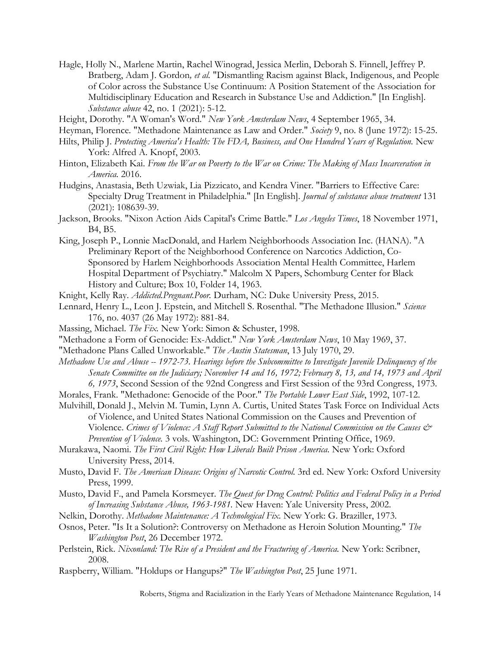Hagle, Holly N., Marlene Martin, Rachel Winograd, Jessica Merlin, Deborah S. Finnell, Jeffrey P. Bratberg, Adam J. Gordon*, et al.* "Dismantling Racism against Black, Indigenous, and People of Color across the Substance Use Continuum: A Position Statement of the Association for Multidisciplinary Education and Research in Substance Use and Addiction." [In English]. *Substance abuse* 42, no. 1 (2021): 5-12.

Height, Dorothy. "A Woman's Word." *New York Amsterdam News*, 4 September 1965, 34.

Heyman, Florence. "Methadone Maintenance as Law and Order." *Society* 9, no. 8 (June 1972): 15-25.

- Hilts, Philip J. *Protecting America's Health: The FDA, Business, and One Hundred Years of Regulation.* New York: Alfred A. Knopf, 2003.
- Hinton, Elizabeth Kai. *From the War on Poverty to the War on Crime: The Making of Mass Incarceration in America.* 2016.
- Hudgins, Anastasia, Beth Uzwiak, Lia Pizzicato, and Kendra Viner. "Barriers to Effective Care: Specialty Drug Treatment in Philadelphia." [In English]. *Journal of substance abuse treatment* 131 (2021): 108639-39.
- Jackson, Brooks. "Nixon Action Aids Capital's Crime Battle." *Los Angeles Times*, 18 November 1971, B4, B5.
- King, Joseph P., Lonnie MacDonald, and Harlem Neighborhoods Association Inc. (HANA). "A Preliminary Report of the Neighborhood Conference on Narcotics Addiction, Co-Sponsored by Harlem Neighborhoods Association Mental Health Committee, Harlem Hospital Department of Psychiatry." Malcolm X Papers, Schomburg Center for Black History and Culture; Box 10, Folder 14, 1963.
- Knight, Kelly Ray. *Addicted.Pregnant.Poor.* Durham, NC: Duke University Press, 2015.
- Lennard, Henry L., Leon J. Epstein, and Mitchell S. Rosenthal. "The Methadone Illusion." *Science*  176, no. 4037 (26 May 1972): 881-84.
- Massing, Michael. *The Fix.* New York: Simon & Schuster, 1998.
- "Methadone a Form of Genocide: Ex-Addict." *New York Amsterdam News*, 10 May 1969, 37.
- "Methadone Plans Called Unworkable." *The Austin Statesman*, 13 July 1970, 29.
- *Methadone Use and Abuse -- 1972-73. Hearings before the Subcommittee to Investigate Juvenile Delinquency of the Senate Committee on the Judiciary; November 14 and 16, 1972; February 8, 13, and 14, 1973 and April 6, 1973*, Second Session of the 92nd Congress and First Session of the 93rd Congress, 1973.
- Morales, Frank. "Methadone: Genocide of the Poor." *The Portable Lower East Side*, 1992, 107-12.
- Mulvihill, Donald J., Melvin M. Tumin, Lynn A. Curtis, United States Task Force on Individual Acts of Violence, and United States National Commission on the Causes and Prevention of Violence. *Crimes of Violence: A Staff Report Submitted to the National Commission on the Causes & Prevention of Violence.* 3 vols. Washington, DC: Government Printing Office, 1969.
- Murakawa, Naomi. *The First Civil Right: How Liberals Built Prison America.* New York: Oxford University Press, 2014.
- Musto, David F. *The American Disease: Origins of Narcotic Control.* 3rd ed. New York: Oxford University Press, 1999.
- Musto, David F., and Pamela Korsmeyer. *The Quest for Drug Control: Politics and Federal Policy in a Period of Increasing Substance Abuse, 1963-1981.* New Haven: Yale University Press, 2002.
- Nelkin, Dorothy. *Methadone Maintenance: A Technological Fix.* New York: G. Braziller, 1973.
- Osnos, Peter. "Is It a Solution?: Controversy on Methadone as Heroin Solution Mounting." *The Washington Post*, 26 December 1972.
- Perlstein, Rick. *Nixonland: The Rise of a President and the Fracturing of America.* New York: Scribner, 2008.
- Raspberry, William. "Holdups or Hangups?" *The Washington Post*, 25 June 1971.